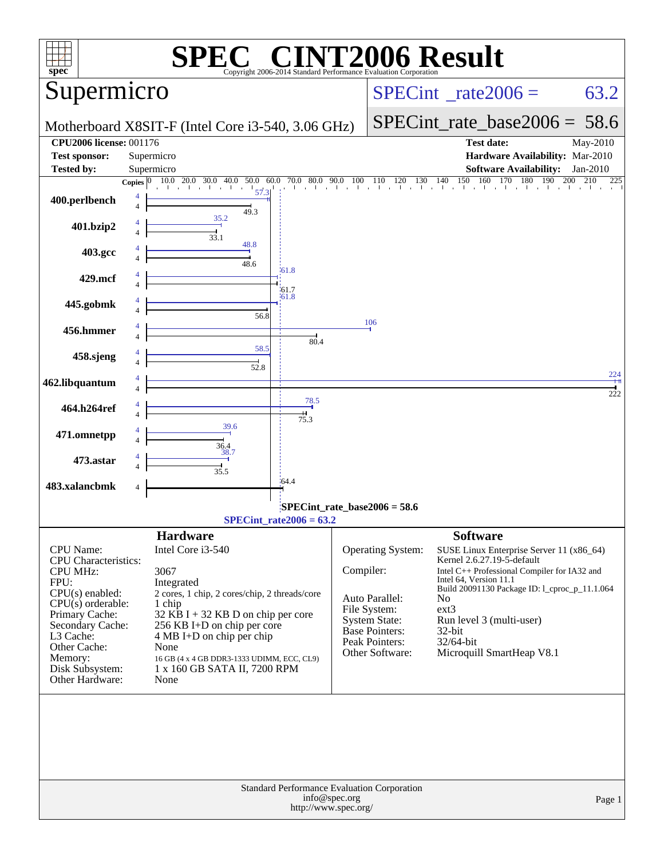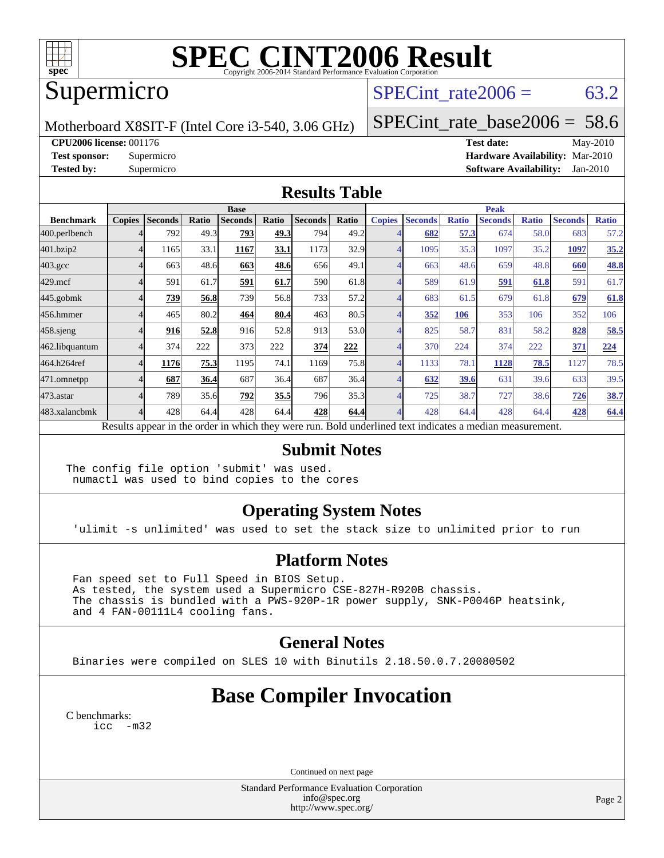

# **[SPEC CINT2006 Result](http://www.spec.org/auto/cpu2006/Docs/result-fields.html#SPECCINT2006Result)**

## Supermicro

## SPECint rate  $2006 = 63.2$

Motherboard X8SIT-F (Intel Core i3-540, 3.06 GHz)

[SPECint\\_rate\\_base2006 =](http://www.spec.org/auto/cpu2006/Docs/result-fields.html#SPECintratebase2006) 58.6

**[CPU2006 license:](http://www.spec.org/auto/cpu2006/Docs/result-fields.html#CPU2006license)** 001176 **[Test date:](http://www.spec.org/auto/cpu2006/Docs/result-fields.html#Testdate)** May-2010 **[Test sponsor:](http://www.spec.org/auto/cpu2006/Docs/result-fields.html#Testsponsor)** Supermicro **[Hardware Availability:](http://www.spec.org/auto/cpu2006/Docs/result-fields.html#HardwareAvailability)** Mar-2010 **[Tested by:](http://www.spec.org/auto/cpu2006/Docs/result-fields.html#Testedby)** Supermicro **[Software Availability:](http://www.spec.org/auto/cpu2006/Docs/result-fields.html#SoftwareAvailability)** Jan-2010

#### **[Results Table](http://www.spec.org/auto/cpu2006/Docs/result-fields.html#ResultsTable)**

|                  | <b>Base</b>   |                |       |                                                                                                          |       |                |       |               | <b>Peak</b>    |              |                |              |                |              |  |
|------------------|---------------|----------------|-------|----------------------------------------------------------------------------------------------------------|-------|----------------|-------|---------------|----------------|--------------|----------------|--------------|----------------|--------------|--|
| <b>Benchmark</b> | <b>Copies</b> | <b>Seconds</b> | Ratio | <b>Seconds</b>                                                                                           | Ratio | <b>Seconds</b> | Ratio | <b>Copies</b> | <b>Seconds</b> | <b>Ratio</b> | <b>Seconds</b> | <b>Ratio</b> | <b>Seconds</b> | <b>Ratio</b> |  |
| 400.perlbench    |               | 792            | 49.3  | 793                                                                                                      | 49.3  | 794            | 49.2  |               | 682            | 57.3         | 674            | 58.0         | 683            | 57.2         |  |
| 401.bzip2        |               | 1165           | 33.1  | 1167                                                                                                     | 33.1  | 1173           | 32.9  |               | 1095           | 35.3         | 1097           | 35.2         | 1097           | 35.2         |  |
| $403.\text{gcc}$ |               | 663            | 48.6  | 663                                                                                                      | 48.6  | 656            | 49.1  |               | 663            | 48.6         | 659            | 48.8         | 660            | 48.8         |  |
| $429$ .mcf       |               | 591            | 61.7  | 591                                                                                                      | 61.7  | 590            | 61.8  |               | 589            | 61.9         | 591            | 61.8         | 591            | 61.7         |  |
| $445$ .gobmk     |               | 739            | 56.8  | 739                                                                                                      | 56.8  | 733            | 57.2  |               | 683            | 61.5         | 679            | 61.8         | 679            | 61.8         |  |
| 456.hmmer        |               | 465            | 80.2  | 464                                                                                                      | 80.4  | 463            | 80.5  |               | 352            | 106          | 353            | 106          | 352            | 106          |  |
| $458$ .sjeng     |               | 916            | 52.8  | 916                                                                                                      | 52.8  | 913            | 53.0  |               | 825            | 58.7         | 831            | 58.2         | 828            | 58.5         |  |
| 462.libquantum   |               | 374            | 222   | 373                                                                                                      | 222   | 374            | 222   |               | 370            | 224          | 374            | 222          | 371            | 224          |  |
| 464.h264ref      |               | 1176           | 75.3  | 1195                                                                                                     | 74.1  | 1169           | 75.8  |               | 1133           | 78.1         | 1128           | 78.5         | 1127           | 78.5         |  |
| 471.omnetpp      |               | 687            | 36.4  | 687                                                                                                      | 36.4  | 687            | 36.4  |               | 632            | 39.6         | 631            | 39.6         | 633            | 39.5         |  |
| 473.astar        |               | 789            | 35.6  | 792                                                                                                      | 35.5  | 796            | 35.3  |               | 725            | 38.7         | 727            | 38.6         | 726            | 38.7         |  |
| 483.xalancbmk    |               | 428            | 64.4  | 428                                                                                                      | 64.4  | 428            | 64.4  |               | 428            | 64.4         | 428            | 64.4         | 428            | 64.4         |  |
|                  |               |                |       | Results appear in the order in which they were run. Bold underlined text indicates a median measurement. |       |                |       |               |                |              |                |              |                |              |  |

#### **[Submit Notes](http://www.spec.org/auto/cpu2006/Docs/result-fields.html#SubmitNotes)**

The config file option 'submit' was used. numactl was used to bind copies to the cores

### **[Operating System Notes](http://www.spec.org/auto/cpu2006/Docs/result-fields.html#OperatingSystemNotes)**

'ulimit -s unlimited' was used to set the stack size to unlimited prior to run

### **[Platform Notes](http://www.spec.org/auto/cpu2006/Docs/result-fields.html#PlatformNotes)**

 Fan speed set to Full Speed in BIOS Setup. As tested, the system used a Supermicro CSE-827H-R920B chassis. The chassis is bundled with a PWS-920P-1R power supply, SNK-P0046P heatsink, and 4 FAN-00111L4 cooling fans.

### **[General Notes](http://www.spec.org/auto/cpu2006/Docs/result-fields.html#GeneralNotes)**

Binaries were compiled on SLES 10 with Binutils 2.18.50.0.7.20080502

## **[Base Compiler Invocation](http://www.spec.org/auto/cpu2006/Docs/result-fields.html#BaseCompilerInvocation)**

[C benchmarks](http://www.spec.org/auto/cpu2006/Docs/result-fields.html#Cbenchmarks): [icc -m32](http://www.spec.org/cpu2006/results/res2010q3/cpu2006-20100608-11661.flags.html#user_CCbase_intel_icc_32bit_5ff4a39e364c98233615fdd38438c6f2)

Continued on next page

Standard Performance Evaluation Corporation [info@spec.org](mailto:info@spec.org) <http://www.spec.org/>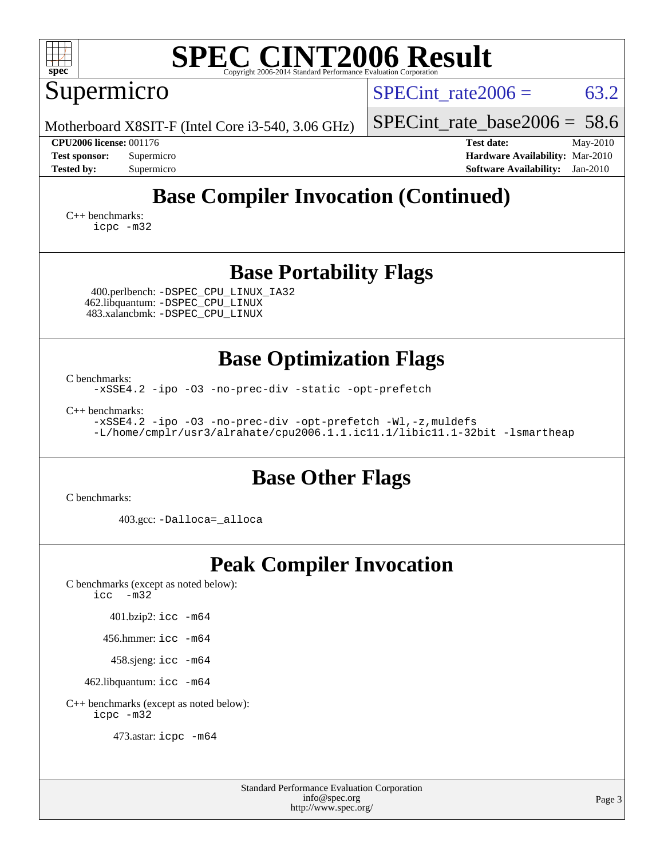| <b>SPEC CINT2006 Result</b><br>spec <sup>®</sup><br>Copyright 2006-2014 Standard Performance Evaluation Corporation                                             |                                                                                                                 |  |  |  |  |  |  |  |
|-----------------------------------------------------------------------------------------------------------------------------------------------------------------|-----------------------------------------------------------------------------------------------------------------|--|--|--|--|--|--|--|
| Supermicro                                                                                                                                                      | 63.2<br>SPECint rate $2006 =$                                                                                   |  |  |  |  |  |  |  |
| Motherboard X8SIT-F (Intel Core i3-540, 3.06 GHz)                                                                                                               | $SPECint_rate_base2006 = 58.6$                                                                                  |  |  |  |  |  |  |  |
| <b>CPU2006 license: 001176</b><br><b>Test sponsor:</b><br>Supermicro<br><b>Tested by:</b><br>Supermicro                                                         | <b>Test date:</b><br>May-2010<br>Hardware Availability: Mar-2010<br><b>Software Availability:</b><br>$Jan-2010$ |  |  |  |  |  |  |  |
| <b>Base Compiler Invocation (Continued)</b><br>$C_{++}$ benchmarks:<br>icpc -m32                                                                                |                                                                                                                 |  |  |  |  |  |  |  |
| <b>Base Portability Flags</b><br>400.perlbench: -DSPEC_CPU_LINUX_IA32<br>462.libquantum: -DSPEC_CPU_LINUX<br>483.xalancbmk: - DSPEC CPU LINUX                   |                                                                                                                 |  |  |  |  |  |  |  |
| <b>Base Optimization Flags</b><br>C benchmarks:                                                                                                                 |                                                                                                                 |  |  |  |  |  |  |  |
| -xSSE4.2 -ipo -03 -no-prec-div -static -opt-prefetch                                                                                                            |                                                                                                                 |  |  |  |  |  |  |  |
| $C++$ benchmarks:<br>-xSSE4.2 -ipo -03 -no-prec-div -opt-prefetch -Wl,-z, muldefs<br>-L/home/cmplr/usr3/alrahate/cpu2006.1.1.ic11.1/libic11.1-32bit -lsmartheap |                                                                                                                 |  |  |  |  |  |  |  |
| <b>Base Other Flags</b>                                                                                                                                         |                                                                                                                 |  |  |  |  |  |  |  |
| C benchmarks:                                                                                                                                                   |                                                                                                                 |  |  |  |  |  |  |  |
| 403.gcc: -Dalloca=_alloca                                                                                                                                       |                                                                                                                 |  |  |  |  |  |  |  |
| <b>Peak Compiler Invocation</b><br>C benchmarks (except as noted below):<br>$-m32$<br>icc                                                                       |                                                                                                                 |  |  |  |  |  |  |  |
| 401.bzip2: icc -m64                                                                                                                                             |                                                                                                                 |  |  |  |  |  |  |  |
| 456.hmmer: icc -m64                                                                                                                                             |                                                                                                                 |  |  |  |  |  |  |  |
| 458.sjeng: icc -m64                                                                                                                                             |                                                                                                                 |  |  |  |  |  |  |  |
| 462.libquantum: icc -m64                                                                                                                                        |                                                                                                                 |  |  |  |  |  |  |  |

[C++ benchmarks \(except as noted below\):](http://www.spec.org/auto/cpu2006/Docs/result-fields.html#CXXbenchmarksexceptasnotedbelow) [icpc -m32](http://www.spec.org/cpu2006/results/res2010q3/cpu2006-20100608-11661.flags.html#user_CXXpeak_intel_icpc_32bit_4e5a5ef1a53fd332b3c49e69c3330699)

473.astar: [icpc -m64](http://www.spec.org/cpu2006/results/res2010q3/cpu2006-20100608-11661.flags.html#user_peakCXXLD473_astar_intel_icpc_64bit_fc66a5337ce925472a5c54ad6a0de310)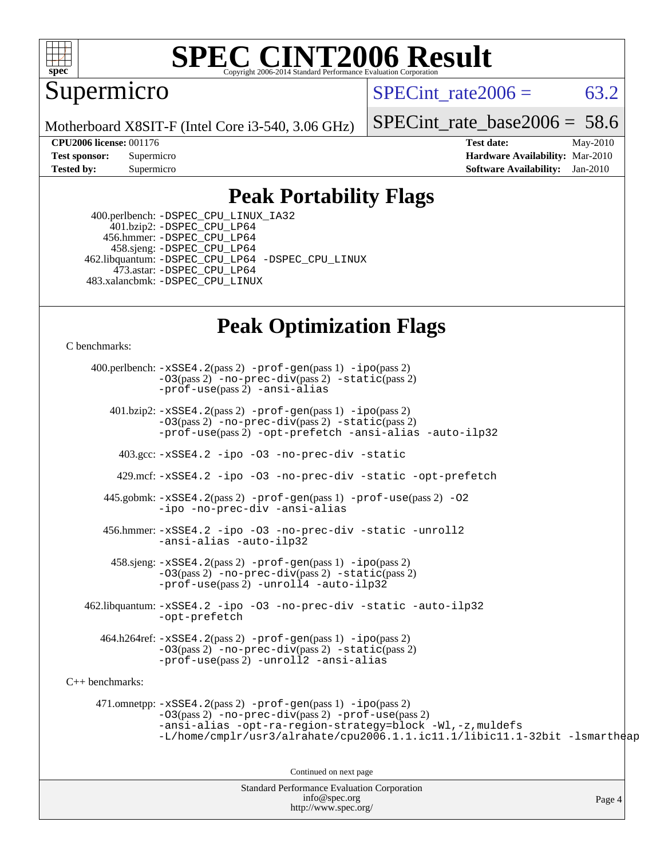

# **[SPEC CINT2006 Result](http://www.spec.org/auto/cpu2006/Docs/result-fields.html#SPECCINT2006Result)**

Supermicro

SPECint rate  $2006 = 63.2$ 

Motherboard X8SIT-F (Intel Core i3-540, 3.06 GHz)

[SPECint\\_rate\\_base2006 =](http://www.spec.org/auto/cpu2006/Docs/result-fields.html#SPECintratebase2006) 58.6

**[CPU2006 license:](http://www.spec.org/auto/cpu2006/Docs/result-fields.html#CPU2006license)** 001176 **[Test date:](http://www.spec.org/auto/cpu2006/Docs/result-fields.html#Testdate)** May-2010 **[Test sponsor:](http://www.spec.org/auto/cpu2006/Docs/result-fields.html#Testsponsor)** Supermicro **[Hardware Availability:](http://www.spec.org/auto/cpu2006/Docs/result-fields.html#HardwareAvailability)** Mar-2010 **[Tested by:](http://www.spec.org/auto/cpu2006/Docs/result-fields.html#Testedby)** Supermicro **[Software Availability:](http://www.spec.org/auto/cpu2006/Docs/result-fields.html#SoftwareAvailability)** Jan-2010

### **[Peak Portability Flags](http://www.spec.org/auto/cpu2006/Docs/result-fields.html#PeakPortabilityFlags)**

 400.perlbench: [-DSPEC\\_CPU\\_LINUX\\_IA32](http://www.spec.org/cpu2006/results/res2010q3/cpu2006-20100608-11661.flags.html#b400.perlbench_peakCPORTABILITY_DSPEC_CPU_LINUX_IA32) 401.bzip2: [-DSPEC\\_CPU\\_LP64](http://www.spec.org/cpu2006/results/res2010q3/cpu2006-20100608-11661.flags.html#suite_peakCPORTABILITY401_bzip2_DSPEC_CPU_LP64) 456.hmmer: [-DSPEC\\_CPU\\_LP64](http://www.spec.org/cpu2006/results/res2010q3/cpu2006-20100608-11661.flags.html#suite_peakCPORTABILITY456_hmmer_DSPEC_CPU_LP64) 458.sjeng: [-DSPEC\\_CPU\\_LP64](http://www.spec.org/cpu2006/results/res2010q3/cpu2006-20100608-11661.flags.html#suite_peakCPORTABILITY458_sjeng_DSPEC_CPU_LP64) 462.libquantum: [-DSPEC\\_CPU\\_LP64](http://www.spec.org/cpu2006/results/res2010q3/cpu2006-20100608-11661.flags.html#suite_peakCPORTABILITY462_libquantum_DSPEC_CPU_LP64) [-DSPEC\\_CPU\\_LINUX](http://www.spec.org/cpu2006/results/res2010q3/cpu2006-20100608-11661.flags.html#b462.libquantum_peakCPORTABILITY_DSPEC_CPU_LINUX) 473.astar: [-DSPEC\\_CPU\\_LP64](http://www.spec.org/cpu2006/results/res2010q3/cpu2006-20100608-11661.flags.html#suite_peakCXXPORTABILITY473_astar_DSPEC_CPU_LP64) 483.xalancbmk: [-DSPEC\\_CPU\\_LINUX](http://www.spec.org/cpu2006/results/res2010q3/cpu2006-20100608-11661.flags.html#b483.xalancbmk_peakCXXPORTABILITY_DSPEC_CPU_LINUX)

## **[Peak Optimization Flags](http://www.spec.org/auto/cpu2006/Docs/result-fields.html#PeakOptimizationFlags)**

[C benchmarks](http://www.spec.org/auto/cpu2006/Docs/result-fields.html#Cbenchmarks):

Standard Performance Evaluation Corporation Page 4 400.perlbench: [-xSSE4.2](http://www.spec.org/cpu2006/results/res2010q3/cpu2006-20100608-11661.flags.html#user_peakPASS2_CFLAGSPASS2_LDCFLAGS400_perlbench_f-xSSE42_f91528193cf0b216347adb8b939d4107)(pass 2) [-prof-gen](http://www.spec.org/cpu2006/results/res2010q3/cpu2006-20100608-11661.flags.html#user_peakPASS1_CFLAGSPASS1_LDCFLAGS400_perlbench_prof_gen_e43856698f6ca7b7e442dfd80e94a8fc)(pass 1) [-ipo](http://www.spec.org/cpu2006/results/res2010q3/cpu2006-20100608-11661.flags.html#user_peakPASS2_CFLAGSPASS2_LDCFLAGS400_perlbench_f-ipo)(pass 2) [-O3](http://www.spec.org/cpu2006/results/res2010q3/cpu2006-20100608-11661.flags.html#user_peakPASS2_CFLAGSPASS2_LDCFLAGS400_perlbench_f-O3)(pass 2) [-no-prec-div](http://www.spec.org/cpu2006/results/res2010q3/cpu2006-20100608-11661.flags.html#user_peakPASS2_CFLAGSPASS2_LDCFLAGS400_perlbench_f-no-prec-div)(pass 2) [-static](http://www.spec.org/cpu2006/results/res2010q3/cpu2006-20100608-11661.flags.html#user_peakPASS2_CFLAGSPASS2_LDCFLAGS400_perlbench_f-static)(pass 2) [-prof-use](http://www.spec.org/cpu2006/results/res2010q3/cpu2006-20100608-11661.flags.html#user_peakPASS2_CFLAGSPASS2_LDCFLAGS400_perlbench_prof_use_bccf7792157ff70d64e32fe3e1250b55)(pass 2) [-ansi-alias](http://www.spec.org/cpu2006/results/res2010q3/cpu2006-20100608-11661.flags.html#user_peakCOPTIMIZE400_perlbench_f-ansi-alias) 401.bzip2: [-xSSE4.2](http://www.spec.org/cpu2006/results/res2010q3/cpu2006-20100608-11661.flags.html#user_peakPASS2_CFLAGSPASS2_LDCFLAGS401_bzip2_f-xSSE42_f91528193cf0b216347adb8b939d4107)(pass 2) [-prof-gen](http://www.spec.org/cpu2006/results/res2010q3/cpu2006-20100608-11661.flags.html#user_peakPASS1_CFLAGSPASS1_LDCFLAGS401_bzip2_prof_gen_e43856698f6ca7b7e442dfd80e94a8fc)(pass 1) [-ipo](http://www.spec.org/cpu2006/results/res2010q3/cpu2006-20100608-11661.flags.html#user_peakPASS2_CFLAGSPASS2_LDCFLAGS401_bzip2_f-ipo)(pass 2) [-O3](http://www.spec.org/cpu2006/results/res2010q3/cpu2006-20100608-11661.flags.html#user_peakPASS2_CFLAGSPASS2_LDCFLAGS401_bzip2_f-O3)(pass 2) [-no-prec-div](http://www.spec.org/cpu2006/results/res2010q3/cpu2006-20100608-11661.flags.html#user_peakPASS2_CFLAGSPASS2_LDCFLAGS401_bzip2_f-no-prec-div)(pass 2) [-static](http://www.spec.org/cpu2006/results/res2010q3/cpu2006-20100608-11661.flags.html#user_peakPASS2_CFLAGSPASS2_LDCFLAGS401_bzip2_f-static)(pass 2) [-prof-use](http://www.spec.org/cpu2006/results/res2010q3/cpu2006-20100608-11661.flags.html#user_peakPASS2_CFLAGSPASS2_LDCFLAGS401_bzip2_prof_use_bccf7792157ff70d64e32fe3e1250b55)(pass 2) [-opt-prefetch](http://www.spec.org/cpu2006/results/res2010q3/cpu2006-20100608-11661.flags.html#user_peakCOPTIMIZE401_bzip2_f-opt-prefetch) [-ansi-alias](http://www.spec.org/cpu2006/results/res2010q3/cpu2006-20100608-11661.flags.html#user_peakCOPTIMIZE401_bzip2_f-ansi-alias) [-auto-ilp32](http://www.spec.org/cpu2006/results/res2010q3/cpu2006-20100608-11661.flags.html#user_peakCOPTIMIZE401_bzip2_f-auto-ilp32) 403.gcc: [-xSSE4.2](http://www.spec.org/cpu2006/results/res2010q3/cpu2006-20100608-11661.flags.html#user_peakCOPTIMIZE403_gcc_f-xSSE42_f91528193cf0b216347adb8b939d4107) [-ipo](http://www.spec.org/cpu2006/results/res2010q3/cpu2006-20100608-11661.flags.html#user_peakCOPTIMIZE403_gcc_f-ipo) [-O3](http://www.spec.org/cpu2006/results/res2010q3/cpu2006-20100608-11661.flags.html#user_peakCOPTIMIZE403_gcc_f-O3) [-no-prec-div](http://www.spec.org/cpu2006/results/res2010q3/cpu2006-20100608-11661.flags.html#user_peakCOPTIMIZE403_gcc_f-no-prec-div) [-static](http://www.spec.org/cpu2006/results/res2010q3/cpu2006-20100608-11661.flags.html#user_peakCOPTIMIZE403_gcc_f-static) 429.mcf: [-xSSE4.2](http://www.spec.org/cpu2006/results/res2010q3/cpu2006-20100608-11661.flags.html#user_peakCOPTIMIZE429_mcf_f-xSSE42_f91528193cf0b216347adb8b939d4107) [-ipo](http://www.spec.org/cpu2006/results/res2010q3/cpu2006-20100608-11661.flags.html#user_peakCOPTIMIZE429_mcf_f-ipo) [-O3](http://www.spec.org/cpu2006/results/res2010q3/cpu2006-20100608-11661.flags.html#user_peakCOPTIMIZE429_mcf_f-O3) [-no-prec-div](http://www.spec.org/cpu2006/results/res2010q3/cpu2006-20100608-11661.flags.html#user_peakCOPTIMIZE429_mcf_f-no-prec-div) [-static](http://www.spec.org/cpu2006/results/res2010q3/cpu2006-20100608-11661.flags.html#user_peakCOPTIMIZE429_mcf_f-static) [-opt-prefetch](http://www.spec.org/cpu2006/results/res2010q3/cpu2006-20100608-11661.flags.html#user_peakCOPTIMIZE429_mcf_f-opt-prefetch) 445.gobmk: [-xSSE4.2](http://www.spec.org/cpu2006/results/res2010q3/cpu2006-20100608-11661.flags.html#user_peakPASS2_CFLAGSPASS2_LDCFLAGS445_gobmk_f-xSSE42_f91528193cf0b216347adb8b939d4107)(pass 2) [-prof-gen](http://www.spec.org/cpu2006/results/res2010q3/cpu2006-20100608-11661.flags.html#user_peakPASS1_CFLAGSPASS1_LDCFLAGS445_gobmk_prof_gen_e43856698f6ca7b7e442dfd80e94a8fc)(pass 1) [-prof-use](http://www.spec.org/cpu2006/results/res2010q3/cpu2006-20100608-11661.flags.html#user_peakPASS2_CFLAGSPASS2_LDCFLAGS445_gobmk_prof_use_bccf7792157ff70d64e32fe3e1250b55)(pass 2) [-O2](http://www.spec.org/cpu2006/results/res2010q3/cpu2006-20100608-11661.flags.html#user_peakCOPTIMIZE445_gobmk_f-O2) [-ipo](http://www.spec.org/cpu2006/results/res2010q3/cpu2006-20100608-11661.flags.html#user_peakCOPTIMIZE445_gobmk_f-ipo) [-no-prec-div](http://www.spec.org/cpu2006/results/res2010q3/cpu2006-20100608-11661.flags.html#user_peakCOPTIMIZE445_gobmk_f-no-prec-div) [-ansi-alias](http://www.spec.org/cpu2006/results/res2010q3/cpu2006-20100608-11661.flags.html#user_peakCOPTIMIZE445_gobmk_f-ansi-alias) 456.hmmer: [-xSSE4.2](http://www.spec.org/cpu2006/results/res2010q3/cpu2006-20100608-11661.flags.html#user_peakCOPTIMIZE456_hmmer_f-xSSE42_f91528193cf0b216347adb8b939d4107) [-ipo](http://www.spec.org/cpu2006/results/res2010q3/cpu2006-20100608-11661.flags.html#user_peakCOPTIMIZE456_hmmer_f-ipo) [-O3](http://www.spec.org/cpu2006/results/res2010q3/cpu2006-20100608-11661.flags.html#user_peakCOPTIMIZE456_hmmer_f-O3) [-no-prec-div](http://www.spec.org/cpu2006/results/res2010q3/cpu2006-20100608-11661.flags.html#user_peakCOPTIMIZE456_hmmer_f-no-prec-div) [-static](http://www.spec.org/cpu2006/results/res2010q3/cpu2006-20100608-11661.flags.html#user_peakCOPTIMIZE456_hmmer_f-static) [-unroll2](http://www.spec.org/cpu2006/results/res2010q3/cpu2006-20100608-11661.flags.html#user_peakCOPTIMIZE456_hmmer_f-unroll_784dae83bebfb236979b41d2422d7ec2) [-ansi-alias](http://www.spec.org/cpu2006/results/res2010q3/cpu2006-20100608-11661.flags.html#user_peakCOPTIMIZE456_hmmer_f-ansi-alias) [-auto-ilp32](http://www.spec.org/cpu2006/results/res2010q3/cpu2006-20100608-11661.flags.html#user_peakCOPTIMIZE456_hmmer_f-auto-ilp32)  $458 \text{.}$  sjeng:  $-xSSE4$ .  $2(\text{pass 2})$  -prof-qen(pass 1) [-ipo](http://www.spec.org/cpu2006/results/res2010q3/cpu2006-20100608-11661.flags.html#user_peakPASS2_CFLAGSPASS2_LDCFLAGS458_sjeng_f-ipo)(pass 2) [-O3](http://www.spec.org/cpu2006/results/res2010q3/cpu2006-20100608-11661.flags.html#user_peakPASS2_CFLAGSPASS2_LDCFLAGS458_sjeng_f-O3)(pass 2) [-no-prec-div](http://www.spec.org/cpu2006/results/res2010q3/cpu2006-20100608-11661.flags.html#user_peakPASS2_CFLAGSPASS2_LDCFLAGS458_sjeng_f-no-prec-div)(pass 2) [-static](http://www.spec.org/cpu2006/results/res2010q3/cpu2006-20100608-11661.flags.html#user_peakPASS2_CFLAGSPASS2_LDCFLAGS458_sjeng_f-static)(pass 2) [-prof-use](http://www.spec.org/cpu2006/results/res2010q3/cpu2006-20100608-11661.flags.html#user_peakPASS2_CFLAGSPASS2_LDCFLAGS458_sjeng_prof_use_bccf7792157ff70d64e32fe3e1250b55)(pass 2) [-unroll4](http://www.spec.org/cpu2006/results/res2010q3/cpu2006-20100608-11661.flags.html#user_peakCOPTIMIZE458_sjeng_f-unroll_4e5e4ed65b7fd20bdcd365bec371b81f) [-auto-ilp32](http://www.spec.org/cpu2006/results/res2010q3/cpu2006-20100608-11661.flags.html#user_peakCOPTIMIZE458_sjeng_f-auto-ilp32) 462.libquantum: [-xSSE4.2](http://www.spec.org/cpu2006/results/res2010q3/cpu2006-20100608-11661.flags.html#user_peakCOPTIMIZE462_libquantum_f-xSSE42_f91528193cf0b216347adb8b939d4107) [-ipo](http://www.spec.org/cpu2006/results/res2010q3/cpu2006-20100608-11661.flags.html#user_peakCOPTIMIZE462_libquantum_f-ipo) [-O3](http://www.spec.org/cpu2006/results/res2010q3/cpu2006-20100608-11661.flags.html#user_peakCOPTIMIZE462_libquantum_f-O3) [-no-prec-div](http://www.spec.org/cpu2006/results/res2010q3/cpu2006-20100608-11661.flags.html#user_peakCOPTIMIZE462_libquantum_f-no-prec-div) [-static](http://www.spec.org/cpu2006/results/res2010q3/cpu2006-20100608-11661.flags.html#user_peakCOPTIMIZE462_libquantum_f-static) [-auto-ilp32](http://www.spec.org/cpu2006/results/res2010q3/cpu2006-20100608-11661.flags.html#user_peakCOPTIMIZE462_libquantum_f-auto-ilp32) [-opt-prefetch](http://www.spec.org/cpu2006/results/res2010q3/cpu2006-20100608-11661.flags.html#user_peakCOPTIMIZE462_libquantum_f-opt-prefetch) 464.h264ref: [-xSSE4.2](http://www.spec.org/cpu2006/results/res2010q3/cpu2006-20100608-11661.flags.html#user_peakPASS2_CFLAGSPASS2_LDCFLAGS464_h264ref_f-xSSE42_f91528193cf0b216347adb8b939d4107)(pass 2) [-prof-gen](http://www.spec.org/cpu2006/results/res2010q3/cpu2006-20100608-11661.flags.html#user_peakPASS1_CFLAGSPASS1_LDCFLAGS464_h264ref_prof_gen_e43856698f6ca7b7e442dfd80e94a8fc)(pass 1) [-ipo](http://www.spec.org/cpu2006/results/res2010q3/cpu2006-20100608-11661.flags.html#user_peakPASS2_CFLAGSPASS2_LDCFLAGS464_h264ref_f-ipo)(pass 2) [-O3](http://www.spec.org/cpu2006/results/res2010q3/cpu2006-20100608-11661.flags.html#user_peakPASS2_CFLAGSPASS2_LDCFLAGS464_h264ref_f-O3)(pass 2) [-no-prec-div](http://www.spec.org/cpu2006/results/res2010q3/cpu2006-20100608-11661.flags.html#user_peakPASS2_CFLAGSPASS2_LDCFLAGS464_h264ref_f-no-prec-div)(pass 2) [-static](http://www.spec.org/cpu2006/results/res2010q3/cpu2006-20100608-11661.flags.html#user_peakPASS2_CFLAGSPASS2_LDCFLAGS464_h264ref_f-static)(pass 2) [-prof-use](http://www.spec.org/cpu2006/results/res2010q3/cpu2006-20100608-11661.flags.html#user_peakPASS2_CFLAGSPASS2_LDCFLAGS464_h264ref_prof_use_bccf7792157ff70d64e32fe3e1250b55)(pass 2) [-unroll2](http://www.spec.org/cpu2006/results/res2010q3/cpu2006-20100608-11661.flags.html#user_peakCOPTIMIZE464_h264ref_f-unroll_784dae83bebfb236979b41d2422d7ec2) [-ansi-alias](http://www.spec.org/cpu2006/results/res2010q3/cpu2006-20100608-11661.flags.html#user_peakCOPTIMIZE464_h264ref_f-ansi-alias) [C++ benchmarks:](http://www.spec.org/auto/cpu2006/Docs/result-fields.html#CXXbenchmarks) 471.omnetpp: [-xSSE4.2](http://www.spec.org/cpu2006/results/res2010q3/cpu2006-20100608-11661.flags.html#user_peakPASS2_CXXFLAGSPASS2_LDCXXFLAGS471_omnetpp_f-xSSE42_f91528193cf0b216347adb8b939d4107)(pass 2) [-prof-gen](http://www.spec.org/cpu2006/results/res2010q3/cpu2006-20100608-11661.flags.html#user_peakPASS1_CXXFLAGSPASS1_LDCXXFLAGS471_omnetpp_prof_gen_e43856698f6ca7b7e442dfd80e94a8fc)(pass 1) [-ipo](http://www.spec.org/cpu2006/results/res2010q3/cpu2006-20100608-11661.flags.html#user_peakPASS2_CXXFLAGSPASS2_LDCXXFLAGS471_omnetpp_f-ipo)(pass 2) [-O3](http://www.spec.org/cpu2006/results/res2010q3/cpu2006-20100608-11661.flags.html#user_peakPASS2_CXXFLAGSPASS2_LDCXXFLAGS471_omnetpp_f-O3)(pass 2) [-no-prec-div](http://www.spec.org/cpu2006/results/res2010q3/cpu2006-20100608-11661.flags.html#user_peakPASS2_CXXFLAGSPASS2_LDCXXFLAGS471_omnetpp_f-no-prec-div)(pass 2) [-prof-use](http://www.spec.org/cpu2006/results/res2010q3/cpu2006-20100608-11661.flags.html#user_peakPASS2_CXXFLAGSPASS2_LDCXXFLAGS471_omnetpp_prof_use_bccf7792157ff70d64e32fe3e1250b55)(pass 2) [-ansi-alias](http://www.spec.org/cpu2006/results/res2010q3/cpu2006-20100608-11661.flags.html#user_peakCXXOPTIMIZE471_omnetpp_f-ansi-alias) [-opt-ra-region-strategy=block](http://www.spec.org/cpu2006/results/res2010q3/cpu2006-20100608-11661.flags.html#user_peakCXXOPTIMIZE471_omnetpp_f-opt-ra-region-strategy-block_a0a37c372d03933b2a18d4af463c1f69) [-Wl,-z,muldefs](http://www.spec.org/cpu2006/results/res2010q3/cpu2006-20100608-11661.flags.html#user_peakEXTRA_LDFLAGS471_omnetpp_link_force_multiple1_74079c344b956b9658436fd1b6dd3a8a) [-L/home/cmplr/usr3/alrahate/cpu2006.1.1.ic11.1/libic11.1-32bit -lsmartheap](http://www.spec.org/cpu2006/results/res2010q3/cpu2006-20100608-11661.flags.html#user_peakEXTRA_LIBS471_omnetpp_SmartHeap_d86dffe4a79b79ef8890d5cce17030c3) Continued on next page

[info@spec.org](mailto:info@spec.org) <http://www.spec.org/>